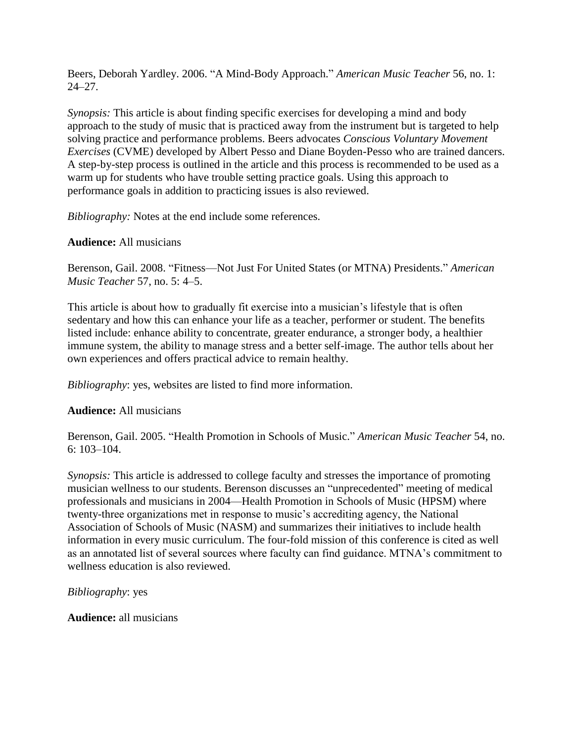Beers, Deborah Yardley. 2006. "A Mind-Body Approach." *American Music Teacher* 56, no. 1:  $24 - 27$ .

*Synopsis:* This article is about finding specific exercises for developing a mind and body approach to the study of music that is practiced away from the instrument but is targeted to help solving practice and performance problems. Beers advocates *Conscious Voluntary Movement Exercises* (CVME) developed by Albert Pesso and Diane Boyden-Pesso who are trained dancers. A step-by-step process is outlined in the article and this process is recommended to be used as a warm up for students who have trouble setting practice goals. Using this approach to performance goals in addition to practicing issues is also reviewed.

*Bibliography:* Notes at the end include some references.

# **Audience:** All musicians

Berenson, Gail. 2008. "Fitness—Not Just For United States (or MTNA) Presidents." *American Music Teacher* 57, no. 5: 4–5.

This article is about how to gradually fit exercise into a musician's lifestyle that is often sedentary and how this can enhance your life as a teacher, performer or student. The benefits listed include: enhance ability to concentrate, greater endurance, a stronger body, a healthier immune system, the ability to manage stress and a better self-image. The author tells about her own experiences and offers practical advice to remain healthy.

*Bibliography*: yes, websites are listed to find more information.

# **Audience:** All musicians

Berenson, Gail. 2005. "Health Promotion in Schools of Music." *American Music Teacher* 54, no. 6: 103–104.

*Synopsis:* This article is addressed to college faculty and stresses the importance of promoting musician wellness to our students. Berenson discusses an "unprecedented" meeting of medical professionals and musicians in 2004—Health Promotion in Schools of Music (HPSM) where twenty-three organizations met in response to music's accrediting agency, the National Association of Schools of Music (NASM) and summarizes their initiatives to include health information in every music curriculum. The four-fold mission of this conference is cited as well as an annotated list of several sources where faculty can find guidance. MTNA's commitment to wellness education is also reviewed.

*Bibliography*: yes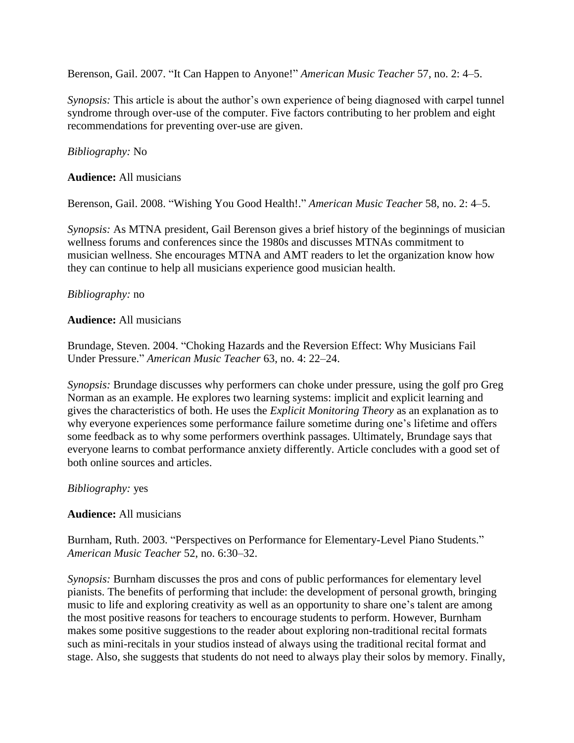Berenson, Gail. 2007. "It Can Happen to Anyone!" *American Music Teacher* 57, no. 2: 4–5.

*Synopsis:* This article is about the author's own experience of being diagnosed with carpel tunnel syndrome through over-use of the computer. Five factors contributing to her problem and eight recommendations for preventing over-use are given.

# *Bibliography:* No

**Audience:** All musicians

Berenson, Gail. 2008. "Wishing You Good Health!." *American Music Teacher* 58, no. 2: 4–5.

*Synopsis:* As MTNA president, Gail Berenson gives a brief history of the beginnings of musician wellness forums and conferences since the 1980s and discusses MTNAs commitment to musician wellness. She encourages MTNA and AMT readers to let the organization know how they can continue to help all musicians experience good musician health.

# *Bibliography:* no

# **Audience:** All musicians

Brundage, Steven. 2004. "Choking Hazards and the Reversion Effect: Why Musicians Fail Under Pressure." *American Music Teacher* 63, no. 4: 22–24.

*Synopsis:* Brundage discusses why performers can choke under pressure, using the golf pro Greg Norman as an example. He explores two learning systems: implicit and explicit learning and gives the characteristics of both. He uses the *Explicit Monitoring Theory* as an explanation as to why everyone experiences some performance failure sometime during one's lifetime and offers some feedback as to why some performers overthink passages. Ultimately, Brundage says that everyone learns to combat performance anxiety differently. Article concludes with a good set of both online sources and articles.

#### *Bibliography:* yes

#### **Audience:** All musicians

Burnham, Ruth. 2003. "Perspectives on Performance for Elementary-Level Piano Students." *American Music Teacher* 52, no. 6:30–32.

*Synopsis:* Burnham discusses the pros and cons of public performances for elementary level pianists. The benefits of performing that include: the development of personal growth, bringing music to life and exploring creativity as well as an opportunity to share one's talent are among the most positive reasons for teachers to encourage students to perform. However, Burnham makes some positive suggestions to the reader about exploring non-traditional recital formats such as mini-recitals in your studios instead of always using the traditional recital format and stage. Also, she suggests that students do not need to always play their solos by memory. Finally,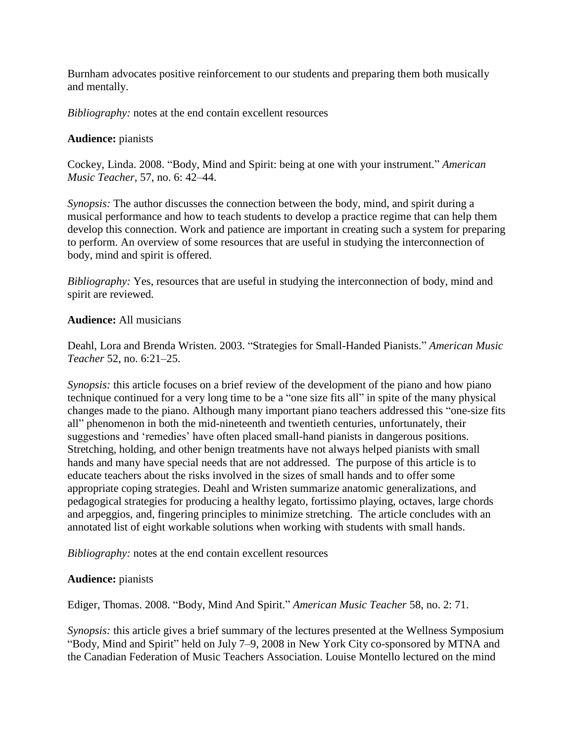Burnham advocates positive reinforcement to our students and preparing them both musically and mentally.

*Bibliography:* notes at the end contain excellent resources

# **Audience:** pianists

Cockey, Linda. 2008. "Body, Mind and Spirit: being at one with your instrument." *American Music Teacher*, 57, no. 6: 42–44.

*Synopsis:* The author discusses the connection between the body, mind, and spirit during a musical performance and how to teach students to develop a practice regime that can help them develop this connection. Work and patience are important in creating such a system for preparing to perform. An overview of some resources that are useful in studying the interconnection of body, mind and spirit is offered.

*Bibliography:* Yes, resources that are useful in studying the interconnection of body, mind and spirit are reviewed.

# **Audience:** All musicians

Deahl, Lora and Brenda Wristen. 2003. "Strategies for Small-Handed Pianists." *American Music Teacher* 52, no. 6:21–25.

*Synopsis:* this article focuses on a brief review of the development of the piano and how piano technique continued for a very long time to be a "one size fits all" in spite of the many physical changes made to the piano. Although many important piano teachers addressed this "one-size fits all" phenomenon in both the mid-nineteenth and twentieth centuries, unfortunately, their suggestions and 'remedies' have often placed small-hand pianists in dangerous positions. Stretching, holding, and other benign treatments have not always helped pianists with small hands and many have special needs that are not addressed. The purpose of this article is to educate teachers about the risks involved in the sizes of small hands and to offer some appropriate coping strategies. Deahl and Wristen summarize anatomic generalizations, and pedagogical strategies for producing a healthy legato, fortissimo playing, octaves, large chords and arpeggios, and, fingering principles to minimize stretching. The article concludes with an annotated list of eight workable solutions when working with students with small hands.

*Bibliography:* notes at the end contain excellent resources

# **Audience:** pianists

Ediger, Thomas. 2008. "Body, Mind And Spirit." *American Music Teacher* 58, no. 2: 71.

*Synopsis:* this article gives a brief summary of the lectures presented at the Wellness Symposium "Body, Mind and Spirit" held on July 7–9, 2008 in New York City co-sponsored by MTNA and the Canadian Federation of Music Teachers Association. Louise Montello lectured on the mind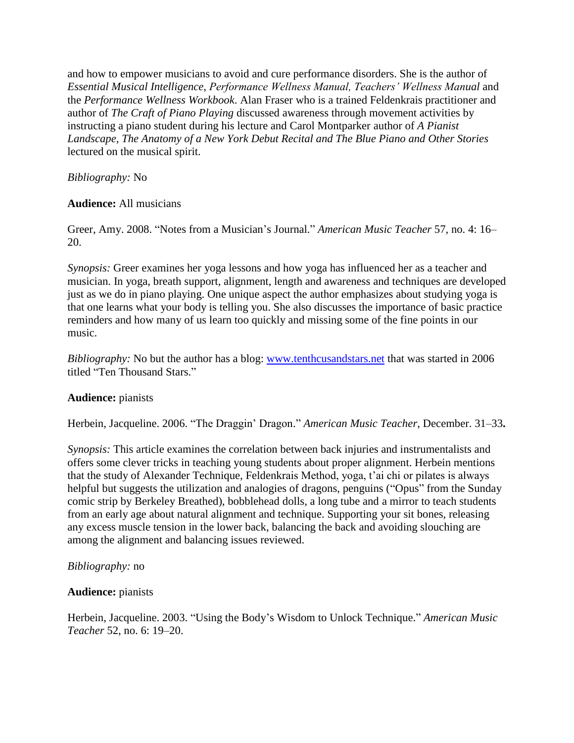and how to empower musicians to avoid and cure performance disorders. She is the author of *Essential Musical Intelligence*, *Performance Wellness Manual, Teachers' Wellness Manual* and the *Performance Wellness Workbook*. Alan Fraser who is a trained Feldenkrais practitioner and author of *The Craft of Piano Playing* discussed awareness through movement activities by instructing a piano student during his lecture and Carol Montparker author of *A Pianist Landscape, The Anatomy of a New York Debut Recital and The Blue Piano and Other Stories*  lectured on the musical spirit.

*Bibliography:* No

# **Audience:** All musicians

Greer, Amy. 2008. "Notes from a Musician's Journal." *American Music Teacher* 57, no. 4: 16– 20.

*Synopsis:* Greer examines her yoga lessons and how yoga has influenced her as a teacher and musician. In yoga, breath support, alignment, length and awareness and techniques are developed just as we do in piano playing. One unique aspect the author emphasizes about studying yoga is that one learns what your body is telling you. She also discusses the importance of basic practice reminders and how many of us learn too quickly and missing some of the fine points in our music.

*Bibliography:* No but the author has a blog: [www.tenthcusandstars.net](http://www.tenthcusandstars.net/) that was started in 2006 titled "Ten Thousand Stars."

# **Audience:** pianists

Herbein, Jacqueline. 2006. "The Draggin' Dragon." *American Music Teacher*, December. 31–33**.**

*Synopsis:* This article examines the correlation between back injuries and instrumentalists and offers some clever tricks in teaching young students about proper alignment. Herbein mentions that the study of Alexander Technique, Feldenkrais Method, yoga, t'ai chi or pilates is always helpful but suggests the utilization and analogies of dragons, penguins ("Opus" from the Sunday comic strip by Berkeley Breathed), bobblehead dolls, a long tube and a mirror to teach students from an early age about natural alignment and technique. Supporting your sit bones, releasing any excess muscle tension in the lower back, balancing the back and avoiding slouching are among the alignment and balancing issues reviewed.

#### *Bibliography:* no

#### **Audience:** pianists

Herbein, Jacqueline. 2003. "Using the Body's Wisdom to Unlock Technique." *American Music Teacher* 52, no. 6: 19–20.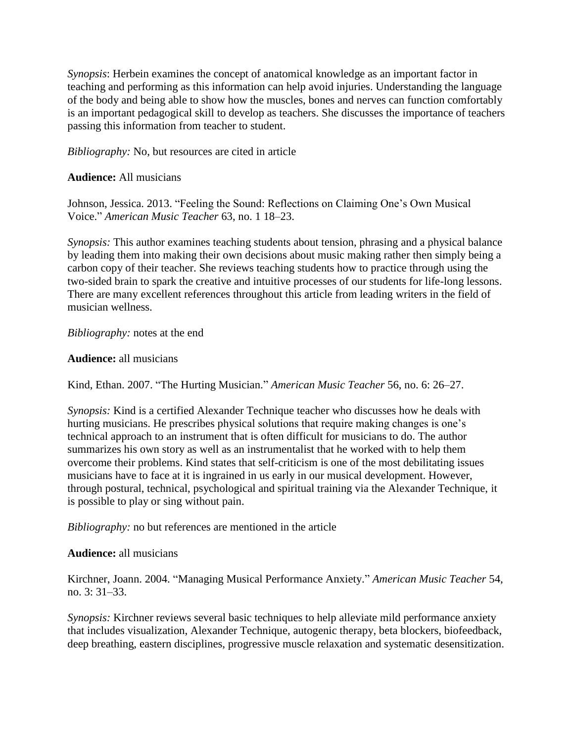*Synopsis*: Herbein examines the concept of anatomical knowledge as an important factor in teaching and performing as this information can help avoid injuries. Understanding the language of the body and being able to show how the muscles, bones and nerves can function comfortably is an important pedagogical skill to develop as teachers. She discusses the importance of teachers passing this information from teacher to student.

*Bibliography:* No, but resources are cited in article

**Audience:** All musicians

Johnson, Jessica. 2013. "Feeling the Sound: Reflections on Claiming One's Own Musical Voice." *American Music Teacher* 63, no. 1 18–23.

*Synopsis:* This author examines teaching students about tension, phrasing and a physical balance by leading them into making their own decisions about music making rather then simply being a carbon copy of their teacher. She reviews teaching students how to practice through using the two-sided brain to spark the creative and intuitive processes of our students for life-long lessons. There are many excellent references throughout this article from leading writers in the field of musician wellness.

*Bibliography:* notes at the end

**Audience:** all musicians

Kind, Ethan. 2007. "The Hurting Musician." *American Music Teacher* 56, no. 6: 26–27.

*Synopsis:* Kind is a certified Alexander Technique teacher who discusses how he deals with hurting musicians. He prescribes physical solutions that require making changes is one's technical approach to an instrument that is often difficult for musicians to do. The author summarizes his own story as well as an instrumentalist that he worked with to help them overcome their problems. Kind states that self-criticism is one of the most debilitating issues musicians have to face at it is ingrained in us early in our musical development. However, through postural, technical, psychological and spiritual training via the Alexander Technique, it is possible to play or sing without pain.

*Bibliography:* no but references are mentioned in the article

**Audience:** all musicians

Kirchner, Joann. 2004. "Managing Musical Performance Anxiety." *American Music Teacher* 54, no. 3: 31–33.

*Synopsis:* Kirchner reviews several basic techniques to help alleviate mild performance anxiety that includes visualization, Alexander Technique, autogenic therapy, beta blockers, biofeedback, deep breathing, eastern disciplines, progressive muscle relaxation and systematic desensitization.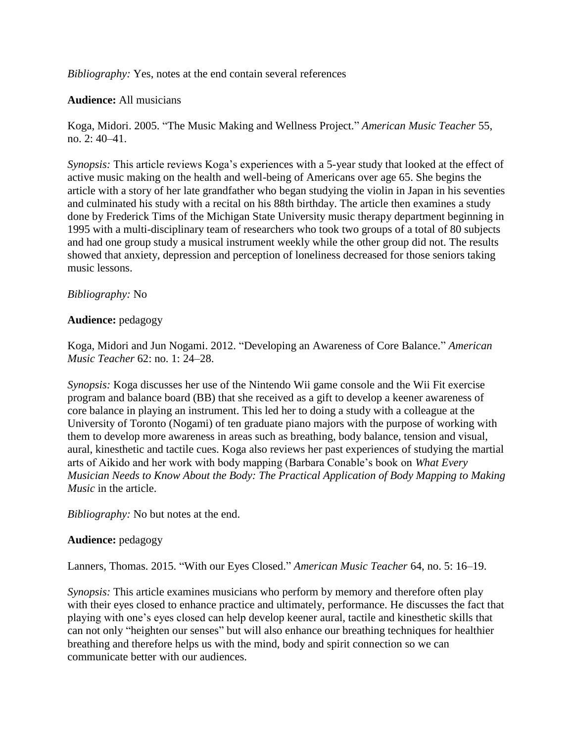*Bibliography:* Yes, notes at the end contain several references

# **Audience:** All musicians

Koga, Midori. 2005. "The Music Making and Wellness Project." *American Music Teacher* 55, no. 2: 40–41.

*Synopsis:* This article reviews Koga's experiences with a 5-year study that looked at the effect of active music making on the health and well-being of Americans over age 65. She begins the article with a story of her late grandfather who began studying the violin in Japan in his seventies and culminated his study with a recital on his 88th birthday. The article then examines a study done by Frederick Tims of the Michigan State University music therapy department beginning in 1995 with a multi-disciplinary team of researchers who took two groups of a total of 80 subjects and had one group study a musical instrument weekly while the other group did not. The results showed that anxiety, depression and perception of loneliness decreased for those seniors taking music lessons.

# *Bibliography:* No

# **Audience:** pedagogy

Koga, Midori and Jun Nogami. 2012. "Developing an Awareness of Core Balance." *American Music Teacher* 62: no. 1: 24–28.

*Synopsis:* Koga discusses her use of the Nintendo Wii game console and the Wii Fit exercise program and balance board (BB) that she received as a gift to develop a keener awareness of core balance in playing an instrument. This led her to doing a study with a colleague at the University of Toronto (Nogami) of ten graduate piano majors with the purpose of working with them to develop more awareness in areas such as breathing, body balance, tension and visual, aural, kinesthetic and tactile cues. Koga also reviews her past experiences of studying the martial arts of Aikido and her work with body mapping (Barbara Conable's book on *What Every Musician Needs to Know About the Body: The Practical Application of Body Mapping to Making Music* in the article.

*Bibliography:* No but notes at the end.

# **Audience:** pedagogy

Lanners, Thomas. 2015. "With our Eyes Closed." *American Music Teacher* 64, no. 5: 16–19.

*Synopsis:* This article examines musicians who perform by memory and therefore often play with their eyes closed to enhance practice and ultimately, performance. He discusses the fact that playing with one's eyes closed can help develop keener aural, tactile and kinesthetic skills that can not only "heighten our senses" but will also enhance our breathing techniques for healthier breathing and therefore helps us with the mind, body and spirit connection so we can communicate better with our audiences.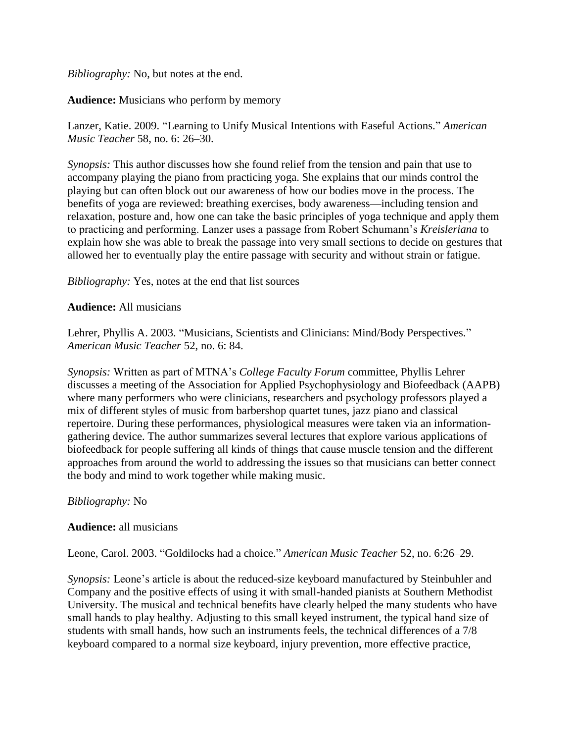*Bibliography:* No, but notes at the end.

# **Audience:** Musicians who perform by memory

Lanzer, Katie. 2009. "Learning to Unify Musical Intentions with Easeful Actions." *American Music Teacher* 58, no. 6: 26–30.

*Synopsis:* This author discusses how she found relief from the tension and pain that use to accompany playing the piano from practicing yoga. She explains that our minds control the playing but can often block out our awareness of how our bodies move in the process. The benefits of yoga are reviewed: breathing exercises, body awareness—including tension and relaxation, posture and, how one can take the basic principles of yoga technique and apply them to practicing and performing. Lanzer uses a passage from Robert Schumann's *Kreisleriana* to explain how she was able to break the passage into very small sections to decide on gestures that allowed her to eventually play the entire passage with security and without strain or fatigue.

*Bibliography:* Yes, notes at the end that list sources

# **Audience:** All musicians

Lehrer, Phyllis A. 2003. "Musicians, Scientists and Clinicians: Mind/Body Perspectives." *American Music Teacher* 52, no. 6: 84.

*Synopsis:* Written as part of MTNA's *College Faculty Forum* committee, Phyllis Lehrer discusses a meeting of the Association for Applied Psychophysiology and Biofeedback (AAPB) where many performers who were clinicians, researchers and psychology professors played a mix of different styles of music from barbershop quartet tunes, jazz piano and classical repertoire. During these performances, physiological measures were taken via an informationgathering device. The author summarizes several lectures that explore various applications of biofeedback for people suffering all kinds of things that cause muscle tension and the different approaches from around the world to addressing the issues so that musicians can better connect the body and mind to work together while making music.

#### *Bibliography:* No

#### **Audience:** all musicians

Leone, Carol. 2003. "Goldilocks had a choice." *American Music Teacher* 52, no. 6:26–29.

*Synopsis:* Leone's article is about the reduced-size keyboard manufactured by Steinbuhler and Company and the positive effects of using it with small-handed pianists at Southern Methodist University. The musical and technical benefits have clearly helped the many students who have small hands to play healthy. Adjusting to this small keyed instrument, the typical hand size of students with small hands, how such an instruments feels, the technical differences of a 7/8 keyboard compared to a normal size keyboard, injury prevention, more effective practice,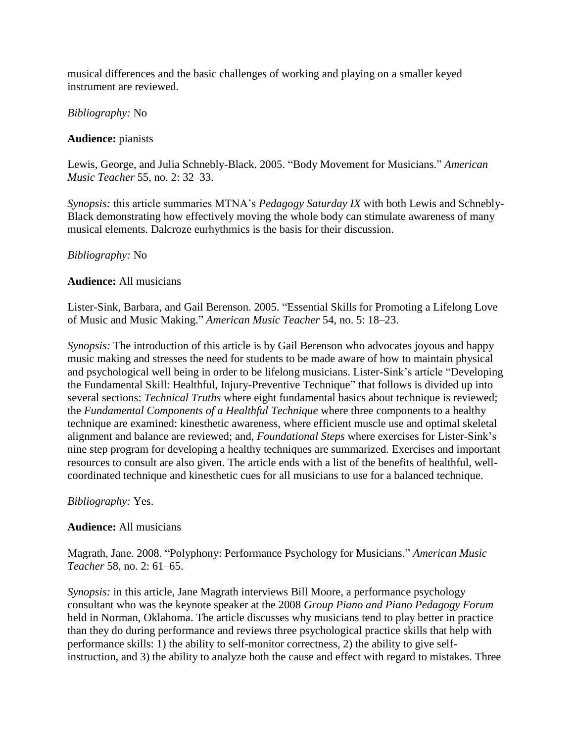musical differences and the basic challenges of working and playing on a smaller keyed instrument are reviewed.

#### *Bibliography:* No

### **Audience:** pianists

Lewis, George, and Julia Schnebly-Black. 2005. "Body Movement for Musicians." *American Music Teacher* 55, no. 2: 32–33.

*Synopsis:* this article summaries MTNA's *Pedagogy Saturday IX* with both Lewis and Schnebly-Black demonstrating how effectively moving the whole body can stimulate awareness of many musical elements. Dalcroze eurhythmics is the basis for their discussion.

#### *Bibliography:* No

# **Audience:** All musicians

Lister-Sink, Barbara, and Gail Berenson. 2005. "Essential Skills for Promoting a Lifelong Love of Music and Music Making." *American Music Teacher* 54, no. 5: 18–23.

*Synopsis:* The introduction of this article is by Gail Berenson who advocates joyous and happy music making and stresses the need for students to be made aware of how to maintain physical and psychological well being in order to be lifelong musicians. Lister-Sink's article "Developing the Fundamental Skill: Healthful, Injury-Preventive Technique" that follows is divided up into several sections: *Technical Truths* where eight fundamental basics about technique is reviewed; the *Fundamental Components of a Healthful Technique* where three components to a healthy technique are examined: kinesthetic awareness, where efficient muscle use and optimal skeletal alignment and balance are reviewed; and, *Foundational Steps* where exercises for Lister-Sink's nine step program for developing a healthy techniques are summarized. Exercises and important resources to consult are also given. The article ends with a list of the benefits of healthful, wellcoordinated technique and kinesthetic cues for all musicians to use for a balanced technique.

#### *Bibliography:* Yes.

#### **Audience:** All musicians

Magrath, Jane. 2008. "Polyphony: Performance Psychology for Musicians." *American Music Teacher* 58, no. 2: 61–65.

*Synopsis:* in this article, Jane Magrath interviews Bill Moore, a performance psychology consultant who was the keynote speaker at the 2008 *Group Piano and Piano Pedagogy Forum* held in Norman, Oklahoma. The article discusses why musicians tend to play better in practice than they do during performance and reviews three psychological practice skills that help with performance skills: 1) the ability to self-monitor correctness, 2) the ability to give selfinstruction, and 3) the ability to analyze both the cause and effect with regard to mistakes. Three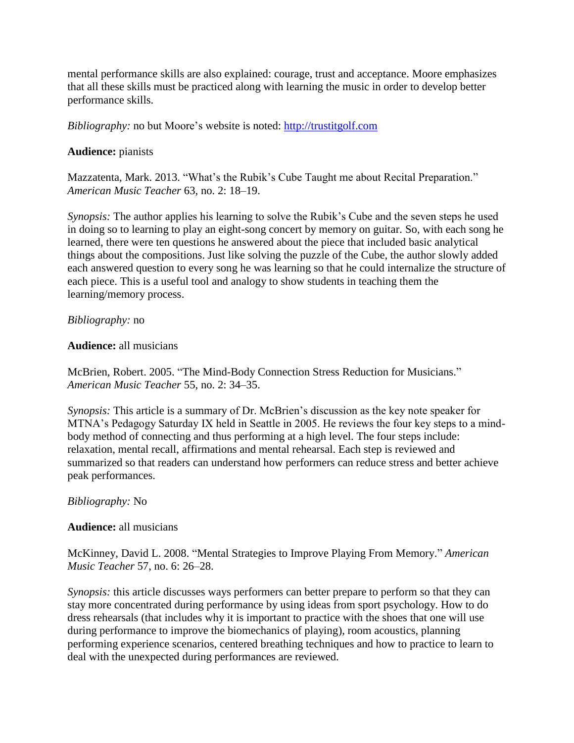mental performance skills are also explained: courage, trust and acceptance. Moore emphasizes that all these skills must be practiced along with learning the music in order to develop better performance skills.

*Bibliography:* no but Moore's website is noted: [http://trustitgolf.com](http://trustitgolf.com/)

# **Audience:** pianists

Mazzatenta, Mark. 2013. "What's the Rubik's Cube Taught me about Recital Preparation." *American Music Teacher* 63, no. 2: 18–19.

*Synopsis:* The author applies his learning to solve the Rubik's Cube and the seven steps he used in doing so to learning to play an eight-song concert by memory on guitar. So, with each song he learned, there were ten questions he answered about the piece that included basic analytical things about the compositions. Just like solving the puzzle of the Cube, the author slowly added each answered question to every song he was learning so that he could internalize the structure of each piece. This is a useful tool and analogy to show students in teaching them the learning/memory process.

#### *Bibliography:* no

#### **Audience:** all musicians

McBrien, Robert. 2005. "The Mind-Body Connection Stress Reduction for Musicians." *American Music Teacher* 55, no. 2: 34–35.

*Synopsis:* This article is a summary of Dr. McBrien's discussion as the key note speaker for MTNA's Pedagogy Saturday IX held in Seattle in 2005. He reviews the four key steps to a mindbody method of connecting and thus performing at a high level. The four steps include: relaxation, mental recall, affirmations and mental rehearsal. Each step is reviewed and summarized so that readers can understand how performers can reduce stress and better achieve peak performances.

#### *Bibliography:* No

#### **Audience:** all musicians

McKinney, David L. 2008. "Mental Strategies to Improve Playing From Memory." *American Music Teacher* 57, no. 6: 26–28.

*Synopsis:* this article discusses ways performers can better prepare to perform so that they can stay more concentrated during performance by using ideas from sport psychology. How to do dress rehearsals (that includes why it is important to practice with the shoes that one will use during performance to improve the biomechanics of playing), room acoustics, planning performing experience scenarios, centered breathing techniques and how to practice to learn to deal with the unexpected during performances are reviewed.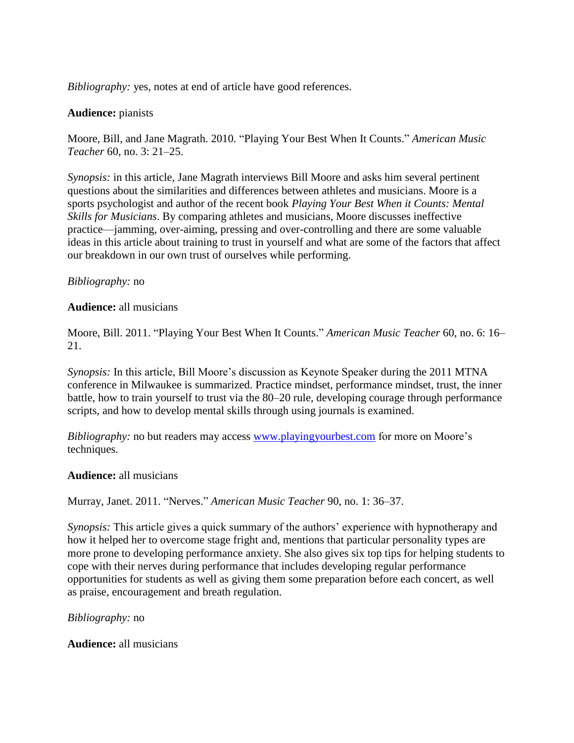*Bibliography:* yes, notes at end of article have good references.

### **Audience:** pianists

Moore, Bill, and Jane Magrath. 2010. "Playing Your Best When It Counts." *American Music Teacher* 60, no. 3: 21–25.

*Synopsis:* in this article, Jane Magrath interviews Bill Moore and asks him several pertinent questions about the similarities and differences between athletes and musicians. Moore is a sports psychologist and author of the recent book *Playing Your Best When it Counts: Mental Skills for Musicians*. By comparing athletes and musicians, Moore discusses ineffective practice—jamming, over-aiming, pressing and over-controlling and there are some valuable ideas in this article about training to trust in yourself and what are some of the factors that affect our breakdown in our own trust of ourselves while performing.

#### *Bibliography:* no

#### **Audience:** all musicians

Moore, Bill. 2011. "Playing Your Best When It Counts." *American Music Teacher* 60, no. 6: 16– 21.

*Synopsis:* In this article, Bill Moore's discussion as Keynote Speaker during the 2011 MTNA conference in Milwaukee is summarized. Practice mindset, performance mindset, trust, the inner battle, how to train yourself to trust via the 80–20 rule, developing courage through performance scripts, and how to develop mental skills through using journals is examined.

*Bibliography:* no but readers may access **www.playingyourbest.com** for more on Moore's techniques.

#### **Audience:** all musicians

Murray, Janet. 2011. "Nerves." *American Music Teacher* 90, no. 1: 36–37.

*Synopsis:* This article gives a quick summary of the authors' experience with hypnotherapy and how it helped her to overcome stage fright and, mentions that particular personality types are more prone to developing performance anxiety. She also gives six top tips for helping students to cope with their nerves during performance that includes developing regular performance opportunities for students as well as giving them some preparation before each concert, as well as praise, encouragement and breath regulation.

#### *Bibliography:* no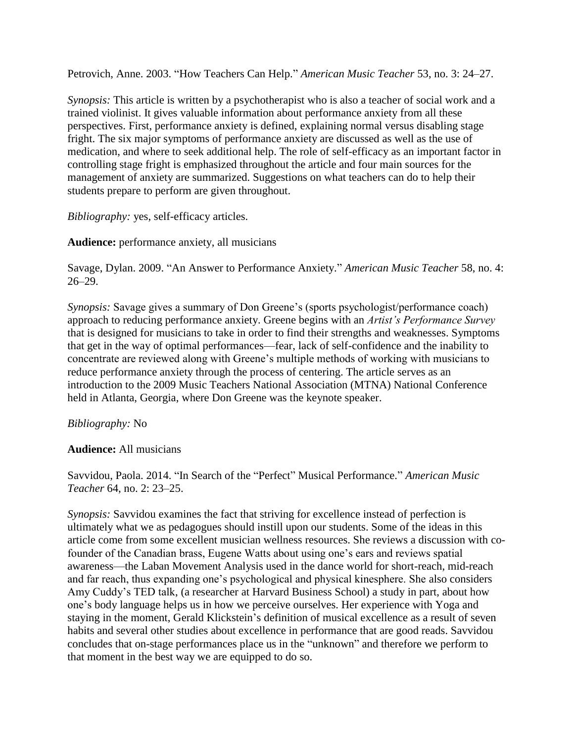Petrovich, Anne. 2003. "How Teachers Can Help." *American Music Teacher* 53, no. 3: 24–27.

*Synopsis:* This article is written by a psychotherapist who is also a teacher of social work and a trained violinist. It gives valuable information about performance anxiety from all these perspectives. First, performance anxiety is defined, explaining normal versus disabling stage fright. The six major symptoms of performance anxiety are discussed as well as the use of medication, and where to seek additional help. The role of self-efficacy as an important factor in controlling stage fright is emphasized throughout the article and four main sources for the management of anxiety are summarized. Suggestions on what teachers can do to help their students prepare to perform are given throughout.

*Bibliography:* yes, self-efficacy articles.

**Audience:** performance anxiety, all musicians

Savage, Dylan. 2009. "An Answer to Performance Anxiety." *American Music Teacher* 58, no. 4: 26–29.

*Synopsis:* Savage gives a summary of Don Greene's (sports psychologist/performance coach) approach to reducing performance anxiety. Greene begins with an *Artist's Performance Survey*  that is designed for musicians to take in order to find their strengths and weaknesses. Symptoms that get in the way of optimal performances—fear, lack of self-confidence and the inability to concentrate are reviewed along with Greene's multiple methods of working with musicians to reduce performance anxiety through the process of centering. The article serves as an introduction to the 2009 Music Teachers National Association (MTNA) National Conference held in Atlanta, Georgia, where Don Greene was the keynote speaker.

*Bibliography:* No

**Audience:** All musicians

Savvidou, Paola. 2014. "In Search of the "Perfect" Musical Performance." *American Music Teacher* 64, no. 2: 23–25.

*Synopsis:* Savvidou examines the fact that striving for excellence instead of perfection is ultimately what we as pedagogues should instill upon our students. Some of the ideas in this article come from some excellent musician wellness resources. She reviews a discussion with cofounder of the Canadian brass, Eugene Watts about using one's ears and reviews spatial awareness—the Laban Movement Analysis used in the dance world for short-reach, mid-reach and far reach, thus expanding one's psychological and physical kinesphere. She also considers Amy Cuddy's TED talk, (a researcher at Harvard Business School) a study in part, about how one's body language helps us in how we perceive ourselves. Her experience with Yoga and staying in the moment, Gerald Klickstein's definition of musical excellence as a result of seven habits and several other studies about excellence in performance that are good reads. Savvidou concludes that on-stage performances place us in the "unknown" and therefore we perform to that moment in the best way we are equipped to do so.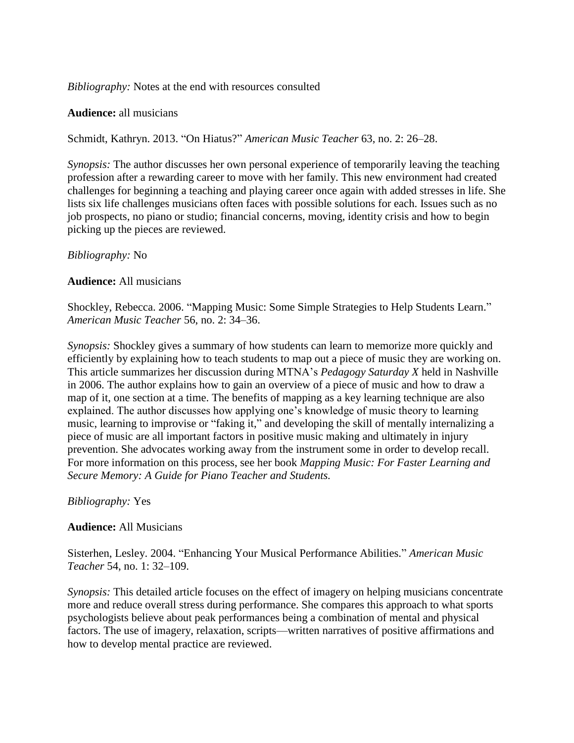#### *Bibliography:* Notes at the end with resources consulted

#### **Audience:** all musicians

Schmidt, Kathryn. 2013. "On Hiatus?" *American Music Teacher* 63, no. 2: 26–28.

*Synopsis:* The author discusses her own personal experience of temporarily leaving the teaching profession after a rewarding career to move with her family. This new environment had created challenges for beginning a teaching and playing career once again with added stresses in life. She lists six life challenges musicians often faces with possible solutions for each. Issues such as no job prospects, no piano or studio; financial concerns, moving, identity crisis and how to begin picking up the pieces are reviewed.

#### *Bibliography:* No

#### **Audience:** All musicians

Shockley, Rebecca. 2006. "Mapping Music: Some Simple Strategies to Help Students Learn." *American Music Teacher* 56, no. 2: 34–36.

*Synopsis:* Shockley gives a summary of how students can learn to memorize more quickly and efficiently by explaining how to teach students to map out a piece of music they are working on. This article summarizes her discussion during MTNA's *Pedagogy Saturday X* held in Nashville in 2006. The author explains how to gain an overview of a piece of music and how to draw a map of it, one section at a time. The benefits of mapping as a key learning technique are also explained. The author discusses how applying one's knowledge of music theory to learning music, learning to improvise or "faking it," and developing the skill of mentally internalizing a piece of music are all important factors in positive music making and ultimately in injury prevention. She advocates working away from the instrument some in order to develop recall. For more information on this process, see her book *Mapping Music: For Faster Learning and Secure Memory: A Guide for Piano Teacher and Students.* 

#### *Bibliography:* Yes

#### **Audience:** All Musicians

Sisterhen, Lesley. 2004. "Enhancing Your Musical Performance Abilities." *American Music Teacher* 54, no. 1: 32–109.

*Synopsis:* This detailed article focuses on the effect of imagery on helping musicians concentrate more and reduce overall stress during performance. She compares this approach to what sports psychologists believe about peak performances being a combination of mental and physical factors. The use of imagery, relaxation, scripts—written narratives of positive affirmations and how to develop mental practice are reviewed.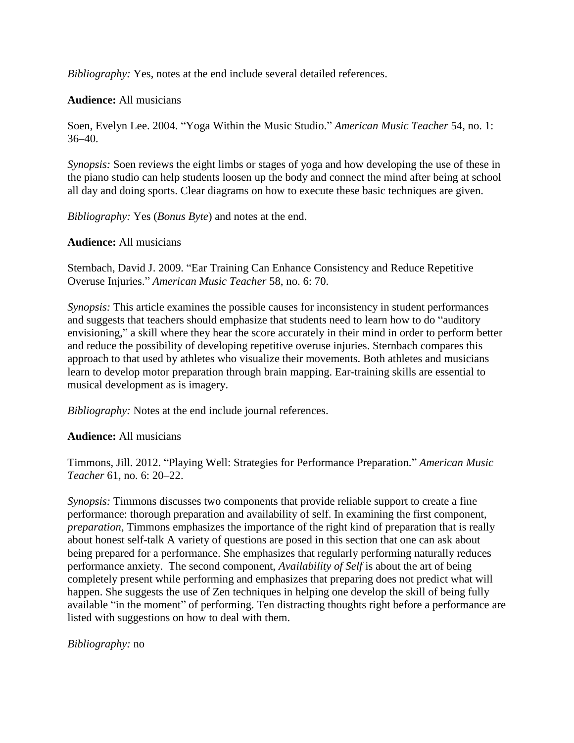*Bibliography:* Yes, notes at the end include several detailed references.

### **Audience:** All musicians

Soen, Evelyn Lee. 2004. "Yoga Within the Music Studio." *American Music Teacher* 54, no. 1: 36–40.

*Synopsis:* Soen reviews the eight limbs or stages of yoga and how developing the use of these in the piano studio can help students loosen up the body and connect the mind after being at school all day and doing sports. Clear diagrams on how to execute these basic techniques are given.

*Bibliography:* Yes (*Bonus Byte*) and notes at the end.

# **Audience:** All musicians

Sternbach, David J. 2009. "Ear Training Can Enhance Consistency and Reduce Repetitive Overuse Injuries." *American Music Teacher* 58, no. 6: 70.

*Synopsis:* This article examines the possible causes for inconsistency in student performances and suggests that teachers should emphasize that students need to learn how to do "auditory envisioning," a skill where they hear the score accurately in their mind in order to perform better and reduce the possibility of developing repetitive overuse injuries. Sternbach compares this approach to that used by athletes who visualize their movements. Both athletes and musicians learn to develop motor preparation through brain mapping. Ear-training skills are essential to musical development as is imagery.

*Bibliography:* Notes at the end include journal references.

#### **Audience:** All musicians

Timmons, Jill. 2012. "Playing Well: Strategies for Performance Preparation." *American Music Teacher* 61, no. 6: 20–22.

*Synopsis:* Timmons discusses two components that provide reliable support to create a fine performance: thorough preparation and availability of self. In examining the first component, *preparation*, Timmons emphasizes the importance of the right kind of preparation that is really about honest self-talk A variety of questions are posed in this section that one can ask about being prepared for a performance. She emphasizes that regularly performing naturally reduces performance anxiety. The second component, *Availability of Self* is about the art of being completely present while performing and emphasizes that preparing does not predict what will happen. She suggests the use of Zen techniques in helping one develop the skill of being fully available "in the moment" of performing. Ten distracting thoughts right before a performance are listed with suggestions on how to deal with them.

#### *Bibliography:* no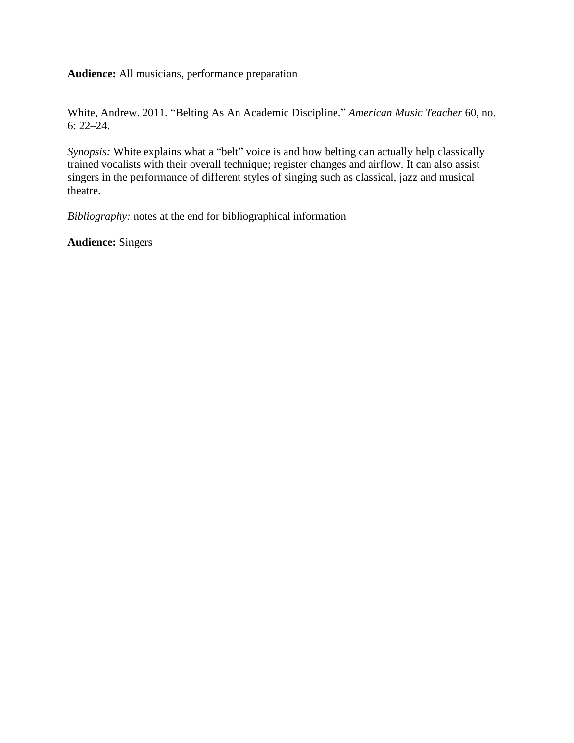**Audience:** All musicians, performance preparation

White, Andrew. 2011. "Belting As An Academic Discipline." *American Music Teacher* 60, no. 6: 22–24.

*Synopsis:* White explains what a "belt" voice is and how belting can actually help classically trained vocalists with their overall technique; register changes and airflow. It can also assist singers in the performance of different styles of singing such as classical, jazz and musical theatre.

*Bibliography:* notes at the end for bibliographical information

**Audience:** Singers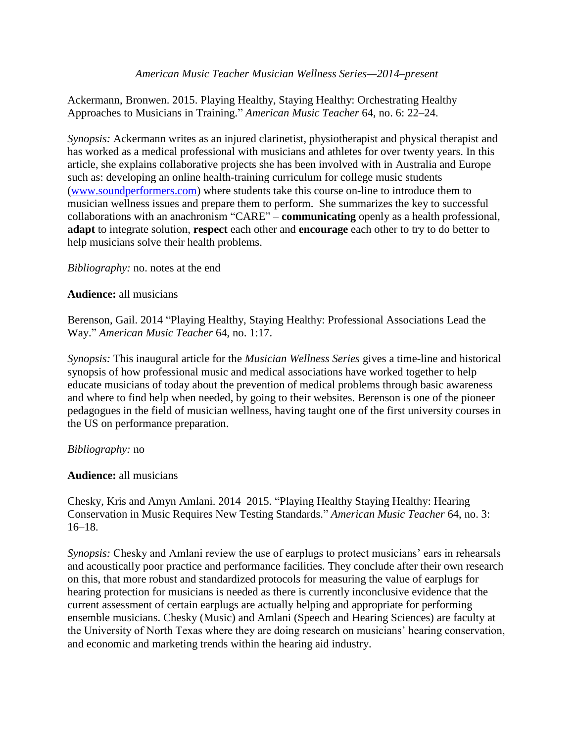Ackermann, Bronwen. 2015. Playing Healthy, Staying Healthy: Orchestrating Healthy Approaches to Musicians in Training." *American Music Teacher* 64, no. 6: 22–24.

*Synopsis:* Ackermann writes as an injured clarinetist, physiotherapist and physical therapist and has worked as a medical professional with musicians and athletes for over twenty years. In this article, she explains collaborative projects she has been involved with in Australia and Europe such as: developing an online health-training curriculum for college music students [\(www.soundperformers.com\)](http://www.soundperformers.com/) where students take this course on-line to introduce them to musician wellness issues and prepare them to perform. She summarizes the key to successful collaborations with an anachronism "CARE" – **communicating** openly as a health professional, **adapt** to integrate solution, **respect** each other and **encourage** each other to try to do better to help musicians solve their health problems.

#### *Bibliography:* no. notes at the end

# **Audience:** all musicians

Berenson, Gail. 2014 "Playing Healthy, Staying Healthy: Professional Associations Lead the Way." *American Music Teacher* 64, no. 1:17.

*Synopsis:* This inaugural article for the *Musician Wellness Series* gives a time-line and historical synopsis of how professional music and medical associations have worked together to help educate musicians of today about the prevention of medical problems through basic awareness and where to find help when needed, by going to their websites. Berenson is one of the pioneer pedagogues in the field of musician wellness, having taught one of the first university courses in the US on performance preparation.

# *Bibliography:* no

#### **Audience:** all musicians

Chesky, Kris and Amyn Amlani. 2014–2015. "Playing Healthy Staying Healthy: Hearing Conservation in Music Requires New Testing Standards." *American Music Teacher* 64, no. 3: 16–18.

*Synopsis:* Chesky and Amlani review the use of earplugs to protect musicians' ears in rehearsals and acoustically poor practice and performance facilities. They conclude after their own research on this, that more robust and standardized protocols for measuring the value of earplugs for hearing protection for musicians is needed as there is currently inconclusive evidence that the current assessment of certain earplugs are actually helping and appropriate for performing ensemble musicians. Chesky (Music) and Amlani (Speech and Hearing Sciences) are faculty at the University of North Texas where they are doing research on musicians' hearing conservation, and economic and marketing trends within the hearing aid industry.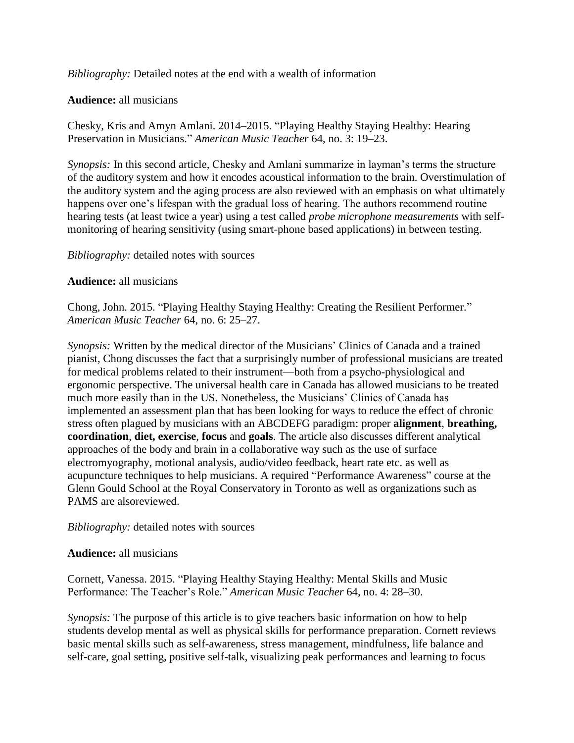*Bibliography:* Detailed notes at the end with a wealth of information

# **Audience:** all musicians

Chesky, Kris and Amyn Amlani. 2014–2015. "Playing Healthy Staying Healthy: Hearing Preservation in Musicians." *American Music Teacher* 64, no. 3: 19–23.

*Synopsis:* In this second article*,* Chesky and Amlani summarize in layman's terms the structure of the auditory system and how it encodes acoustical information to the brain. Overstimulation of the auditory system and the aging process are also reviewed with an emphasis on what ultimately happens over one's lifespan with the gradual loss of hearing. The authors recommend routine hearing tests (at least twice a year) using a test called *probe microphone measurements* with selfmonitoring of hearing sensitivity (using smart-phone based applications) in between testing.

# *Bibliography:* detailed notes with sources

# **Audience:** all musicians

Chong, John. 2015. "Playing Healthy Staying Healthy: Creating the Resilient Performer." *American Music Teacher* 64, no. 6: 25–27.

*Synopsis:* Written by the medical director of the Musicians' Clinics of Canada and a trained pianist, Chong discusses the fact that a surprisingly number of professional musicians are treated for medical problems related to their instrument—both from a psycho-physiological and ergonomic perspective. The universal health care in Canada has allowed musicians to be treated much more easily than in the US. Nonetheless, the Musicians' Clinics of Canada has implemented an assessment plan that has been looking for ways to reduce the effect of chronic stress often plagued by musicians with an ABCDEFG paradigm: proper **alignment**, **breathing, coordination**, **diet, exercise**, **focus** and **goals**. The article also discusses different analytical approaches of the body and brain in a collaborative way such as the use of surface electromyography, motional analysis, audio/video feedback, heart rate etc. as well as acupuncture techniques to help musicians. A required "Performance Awareness" course at the Glenn Gould School at the Royal Conservatory in Toronto as well as organizations such as PAMS are alsoreviewed.

#### *Bibliography:* detailed notes with sources

#### **Audience:** all musicians

Cornett, Vanessa. 2015. "Playing Healthy Staying Healthy: Mental Skills and Music Performance: The Teacher's Role." *American Music Teacher* 64, no. 4: 28–30.

*Synopsis:* The purpose of this article is to give teachers basic information on how to help students develop mental as well as physical skills for performance preparation. Cornett reviews basic mental skills such as self-awareness, stress management, mindfulness, life balance and self-care, goal setting, positive self-talk, visualizing peak performances and learning to focus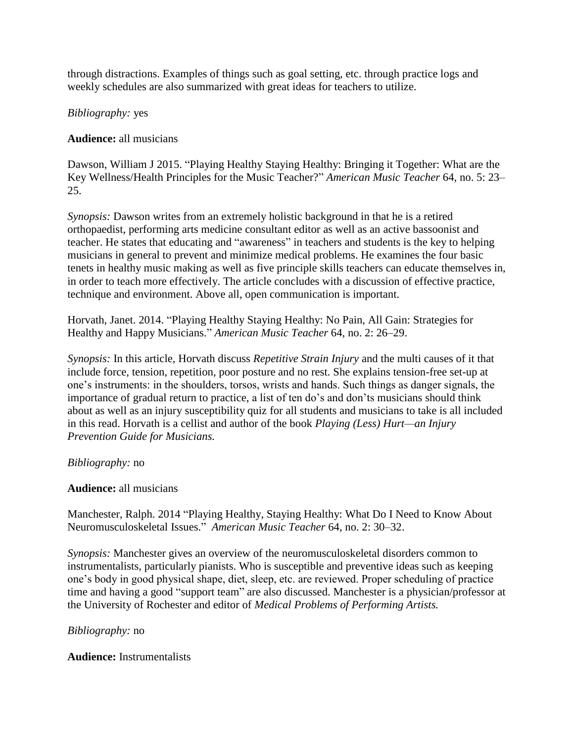through distractions. Examples of things such as goal setting, etc. through practice logs and weekly schedules are also summarized with great ideas for teachers to utilize.

*Bibliography:* yes

# **Audience:** all musicians

Dawson, William J 2015. "Playing Healthy Staying Healthy: Bringing it Together: What are the Key Wellness/Health Principles for the Music Teacher?" *American Music Teacher* 64, no. 5: 23– 25.

*Synopsis:* Dawson writes from an extremely holistic background in that he is a retired orthopaedist, performing arts medicine consultant editor as well as an active bassoonist and teacher. He states that educating and "awareness" in teachers and students is the key to helping musicians in general to prevent and minimize medical problems. He examines the four basic tenets in healthy music making as well as five principle skills teachers can educate themselves in, in order to teach more effectively. The article concludes with a discussion of effective practice, technique and environment. Above all, open communication is important.

Horvath, Janet. 2014. "Playing Healthy Staying Healthy: No Pain, All Gain: Strategies for Healthy and Happy Musicians." *American Music Teacher* 64, no. 2: 26–29.

*Synopsis:* In this article, Horvath discuss *Repetitive Strain Injury* and the multi causes of it that include force, tension, repetition, poor posture and no rest. She explains tension-free set-up at one's instruments: in the shoulders, torsos, wrists and hands. Such things as danger signals, the importance of gradual return to practice, a list of ten do's and don'ts musicians should think about as well as an injury susceptibility quiz for all students and musicians to take is all included in this read. Horvath is a cellist and author of the book *Playing (Less) Hurt—an Injury Prevention Guide for Musicians.*

# *Bibliography:* no

# **Audience:** all musicians

Manchester, Ralph. 2014 "Playing Healthy, Staying Healthy: What Do I Need to Know About Neuromusculoskeletal Issues." *American Music Teacher* 64, no. 2: 30–32.

*Synopsis:* Manchester gives an overview of the neuromusculoskeletal disorders common to instrumentalists, particularly pianists. Who is susceptible and preventive ideas such as keeping one's body in good physical shape, diet, sleep, etc. are reviewed. Proper scheduling of practice time and having a good "support team" are also discussed. Manchester is a physician/professor at the University of Rochester and editor of *Medical Problems of Performing Artists.*

# *Bibliography:* no

**Audience:** Instrumentalists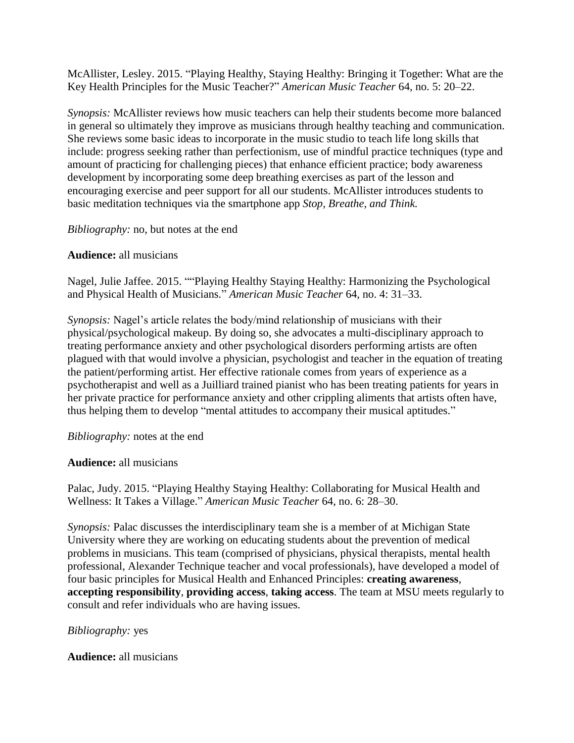McAllister, Lesley. 2015. "Playing Healthy, Staying Healthy: Bringing it Together: What are the Key Health Principles for the Music Teacher?" *American Music Teacher* 64, no. 5: 20–22.

*Synopsis:* McAllister reviews how music teachers can help their students become more balanced in general so ultimately they improve as musicians through healthy teaching and communication. She reviews some basic ideas to incorporate in the music studio to teach life long skills that include: progress seeking rather than perfectionism, use of mindful practice techniques (type and amount of practicing for challenging pieces) that enhance efficient practice; body awareness development by incorporating some deep breathing exercises as part of the lesson and encouraging exercise and peer support for all our students. McAllister introduces students to basic meditation techniques via the smartphone app *Stop, Breathe, and Think.*

*Bibliography:* no, but notes at the end

# **Audience:** all musicians

Nagel, Julie Jaffee. 2015. ""Playing Healthy Staying Healthy: Harmonizing the Psychological and Physical Health of Musicians." *American Music Teacher* 64, no. 4: 31–33.

*Synopsis:* Nagel's article relates the body/mind relationship of musicians with their physical/psychological makeup. By doing so, she advocates a multi-disciplinary approach to treating performance anxiety and other psychological disorders performing artists are often plagued with that would involve a physician, psychologist and teacher in the equation of treating the patient/performing artist. Her effective rationale comes from years of experience as a psychotherapist and well as a Juilliard trained pianist who has been treating patients for years in her private practice for performance anxiety and other crippling aliments that artists often have, thus helping them to develop "mental attitudes to accompany their musical aptitudes."

*Bibliography:* notes at the end

**Audience:** all musicians

Palac, Judy. 2015. "Playing Healthy Staying Healthy: Collaborating for Musical Health and Wellness: It Takes a Village." *American Music Teacher* 64, no. 6: 28–30.

*Synopsis:* Palac discusses the interdisciplinary team she is a member of at Michigan State University where they are working on educating students about the prevention of medical problems in musicians. This team (comprised of physicians, physical therapists, mental health professional, Alexander Technique teacher and vocal professionals), have developed a model of four basic principles for Musical Health and Enhanced Principles: **creating awareness**, **accepting responsibility**, **providing access**, **taking access**. The team at MSU meets regularly to consult and refer individuals who are having issues.

# *Bibliography:* yes